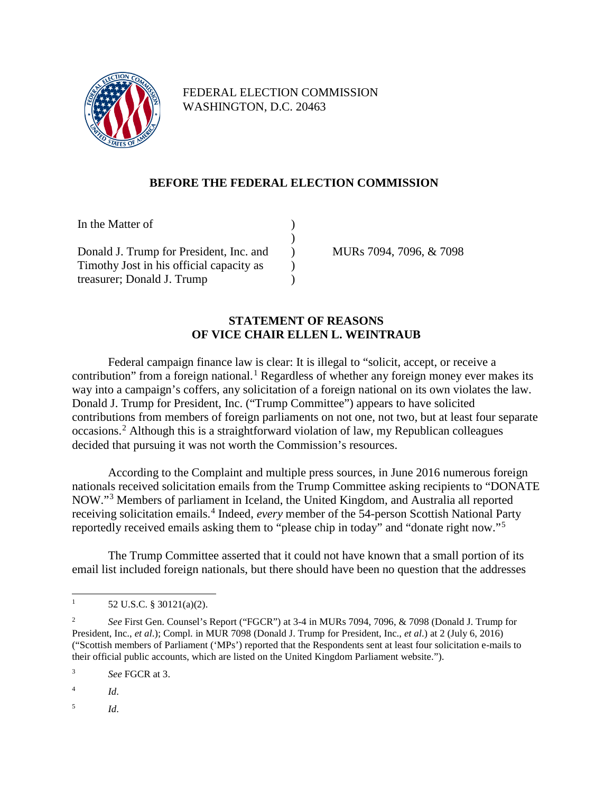

FEDERAL ELECTION COMMISSION WASHINGTON, D.C. 20463

## **BEFORE THE FEDERAL ELECTION COMMISSION**

| In the Matter of                         |  |                     |
|------------------------------------------|--|---------------------|
|                                          |  |                     |
| Donald J. Trump for President, Inc. and  |  | MUR <sub>s</sub> 70 |
| Timothy Jost in his official capacity as |  |                     |
| treasurer; Donald J. Trump               |  |                     |

094, 7096, & 7098

## **STATEMENT OF REASONS OF VICE CHAIR ELLEN L. WEINTRAUB**

Federal campaign finance law is clear: It is illegal to "solicit, accept, or receive a contribution" from a foreign national.<sup>[1](#page-0-0)</sup> Regardless of whether any foreign money ever makes its way into a campaign's coffers, any solicitation of a foreign national on its own violates the law. Donald J. Trump for President, Inc. ("Trump Committee") appears to have solicited contributions from members of foreign parliaments on not one, not two, but at least four separate occasions. [2](#page-0-1) Although this is a straightforward violation of law, my Republican colleagues decided that pursuing it was not worth the Commission's resources.

According to the Complaint and multiple press sources, in June 2016 numerous foreign nationals received solicitation emails from the Trump Committee asking recipients to "DONATE NOW."[3](#page-0-2) Members of parliament in Iceland, the United Kingdom, and Australia all reported receiving solicitation emails. [4](#page-0-3) Indeed, *every* member of the 54-person Scottish National Party reportedly received emails asking them to "please chip in today" and "donate right now."[5](#page-0-4)

The Trump Committee asserted that it could not have known that a small portion of its email list included foreign nationals, but there should have been no question that the addresses

<span id="page-0-2"></span><sup>3</sup> *See* FGCR at 3.

<span id="page-0-3"></span><sup>4</sup> *Id*.

<span id="page-0-4"></span><sup>5</sup> *Id*.

<span id="page-0-0"></span><sup>&</sup>lt;sup>1</sup> 52 U.S.C. § 30121(a)(2).

<span id="page-0-1"></span><sup>2</sup> *See* First Gen. Counsel's Report ("FGCR") at 3-4 in MURs 7094, 7096, & 7098 (Donald J. Trump for President, Inc., *et al*.); Compl. in MUR 7098 (Donald J. Trump for President, Inc., *et al*.) at 2 (July 6, 2016) ("Scottish members of Parliament ('MPs') reported that the Respondents sent at least four solicitation e-mails to their official public accounts, which are listed on the United Kingdom Parliament website.").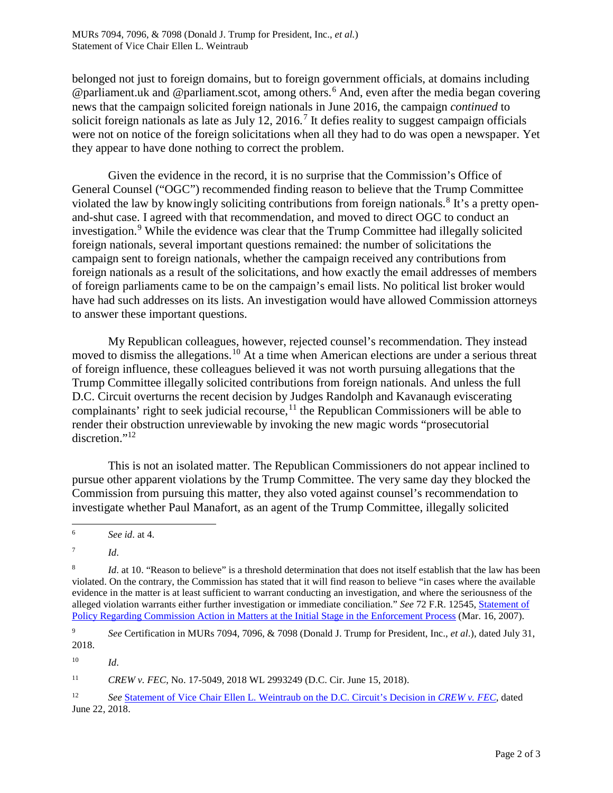belonged not just to foreign domains, but to foreign government officials, at domains including @parliament.uk and @parliament.scot, among others.<sup>[6](#page-1-0)</sup> And, even after the media began covering news that the campaign solicited foreign nationals in June 2016, the campaign *continued* to solicit foreign nationals as late as July 12, 2016.<sup>[7](#page-1-1)</sup> It defies reality to suggest campaign officials were not on notice of the foreign solicitations when all they had to do was open a newspaper. Yet they appear to have done nothing to correct the problem.

Given the evidence in the record, it is no surprise that the Commission's Office of General Counsel ("OGC") recommended finding reason to believe that the Trump Committee violated the law by knowingly soliciting contributions from foreign nationals.<sup>[8](#page-1-2)</sup> It's a pretty openand-shut case. I agreed with that recommendation, and moved to direct OGC to conduct an investigation.<sup>[9](#page-1-3)</sup> While the evidence was clear that the Trump Committee had illegally solicited foreign nationals, several important questions remained: the number of solicitations the campaign sent to foreign nationals, whether the campaign received any contributions from foreign nationals as a result of the solicitations, and how exactly the email addresses of members of foreign parliaments came to be on the campaign's email lists. No political list broker would have had such addresses on its lists. An investigation would have allowed Commission attorneys to answer these important questions.

My Republican colleagues, however, rejected counsel's recommendation. They instead moved to dismiss the allegations.<sup>[10](#page-1-4)</sup> At a time when American elections are under a serious threat of foreign influence, these colleagues believed it was not worth pursuing allegations that the Trump Committee illegally solicited contributions from foreign nationals. And unless the full D.C. Circuit overturns the recent decision by Judges Randolph and Kavanaugh eviscerating complainants' right to seek judicial recourse, $11$  the Republican Commissioners will be able to render their obstruction unreviewable by invoking the new magic words "prosecutorial discretion."[12](#page-1-6)

This is not an isolated matter. The Republican Commissioners do not appear inclined to pursue other apparent violations by the Trump Committee. The very same day they blocked the Commission from pursuing this matter, they also voted against counsel's recommendation to investigate whether Paul Manafort, as an agent of the Trump Committee, illegally solicited

<span id="page-1-4"></span><sup>10</sup> *Id*.

<span id="page-1-5"></span><sup>11</sup> *CREW v. FEC*, No. 17-5049, 2018 WL 2993249 (D.C. Cir. June 15, 2018).

<span id="page-1-0"></span><sup>6</sup> *See id*. at 4.

<span id="page-1-1"></span> $^7$  *Id.* 

<span id="page-1-2"></span><sup>&</sup>lt;sup>8</sup> *Id.* at 10. "Reason to believe" is a threshold determination that does not itself establish that the law has been violated. On the contrary, the Commission has stated that it will find reason to believe "in cases where the available evidence in the matter is at least sufficient to warrant conducting an investigation, and where the seriousness of the alleged violation warrants either further investigation or immediate conciliation." *See* 72 F.R. 12545, [Statement of](https://www.gpo.gov/fdsys/pkg/FR-2007-03-16/pdf/E7-4868.pdf)  [Policy Regarding Commission Action in Matters at the Initial Stage in the Enforcement Process](https://www.gpo.gov/fdsys/pkg/FR-2007-03-16/pdf/E7-4868.pdf) (Mar. 16, 2007).

<span id="page-1-3"></span><sup>9</sup> *See* Certification in MURs 7094, 7096, & 7098 (Donald J. Trump for President, Inc., *et al*.), dated July 31, 2018.

<span id="page-1-6"></span><sup>12</sup> *See* [Statement of Vice Chair Ellen L. Weintraub on the D.C. Circuit's Decision in](https://www.fec.gov/resources/cms-content/documents/2018-06-22_ELW_statement_re_CREWvFEC-CHGO.pdf) *CREW v. FEC*, dated June 22, 2018.